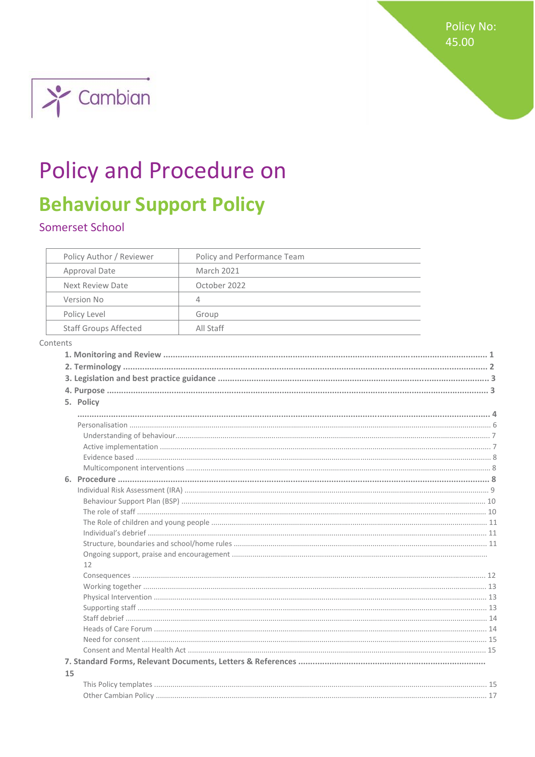Policy No: 45.00



# **Policy and Procedure on**

## **Behaviour Support Policy**

## Somerset School

|          | Policy Author / Reviewer     | Policy and Performance Team |  |
|----------|------------------------------|-----------------------------|--|
|          | Approval Date                | <b>March 2021</b>           |  |
|          | <b>Next Review Date</b>      | October 2022                |  |
|          | Version No                   | 4                           |  |
|          | Policy Level                 | Group                       |  |
|          | <b>Staff Groups Affected</b> | All Staff                   |  |
| Contents |                              |                             |  |
|          |                              |                             |  |
|          |                              |                             |  |
|          |                              |                             |  |
|          |                              |                             |  |
|          | 5. Policy                    |                             |  |
|          |                              |                             |  |
|          |                              |                             |  |
|          |                              |                             |  |
|          |                              |                             |  |
|          |                              |                             |  |
|          |                              |                             |  |
|          |                              |                             |  |
|          |                              |                             |  |
|          |                              |                             |  |
|          |                              |                             |  |
|          |                              |                             |  |
|          |                              |                             |  |
|          |                              |                             |  |
|          |                              |                             |  |
|          | 12                           |                             |  |
|          |                              |                             |  |
|          |                              |                             |  |
|          |                              |                             |  |
|          |                              |                             |  |
|          |                              |                             |  |
|          |                              |                             |  |
|          |                              |                             |  |
|          |                              |                             |  |
|          |                              |                             |  |
| 15       |                              |                             |  |
|          |                              |                             |  |
|          |                              |                             |  |
|          |                              |                             |  |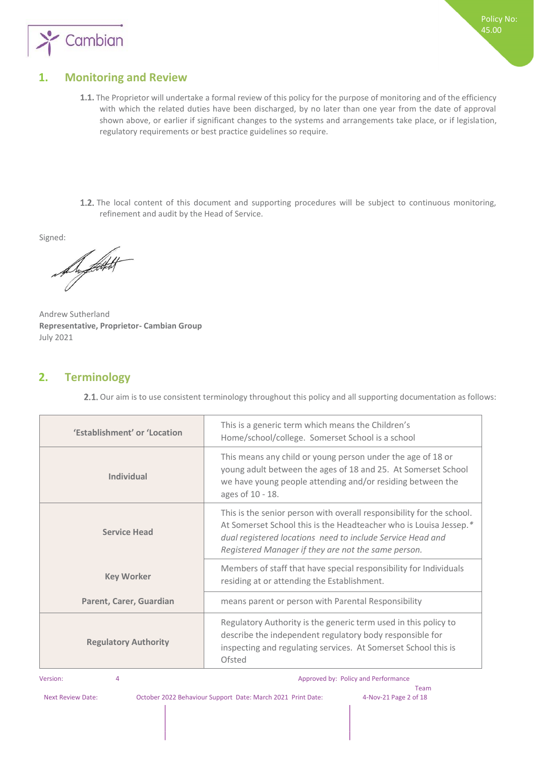

### **1. Monitoring and Review**

- 1.1. The Proprietor will undertake a formal review of this policy for the purpose of monitoring and of the efficiency with which the related duties have been discharged, by no later than one year from the date of approval shown above, or earlier if significant changes to the systems and arrangements take place, or if legislation, regulatory requirements or best practice guidelines so require.
- 1.2. The local content of this document and supporting procedures will be subject to continuous monitoring, refinement and audit by the Head of Service.

Signed:

De flott t

Andrew Sutherland **Representative, Proprietor- Cambian Group**  July 2021

#### **2. Terminology**

2.1. Our aim is to use consistent terminology throughout this policy and all supporting documentation as follows:

| 'Establishment' or 'Location | This is a generic term which means the Children's<br>Home/school/college. Somerset School is a school                                                                                                                                                           |
|------------------------------|-----------------------------------------------------------------------------------------------------------------------------------------------------------------------------------------------------------------------------------------------------------------|
| Individual                   | This means any child or young person under the age of 18 or<br>young adult between the ages of 18 and 25. At Somerset School<br>we have young people attending and/or residing between the<br>ages of 10 - 18.                                                  |
| <b>Service Head</b>          | This is the senior person with overall responsibility for the school.<br>At Somerset School this is the Headteacher who is Louisa Jessep.*<br>dual registered locations need to include Service Head and<br>Registered Manager if they are not the same person. |
| <b>Key Worker</b>            | Members of staff that have special responsibility for Individuals<br>residing at or attending the Establishment.                                                                                                                                                |
| Parent, Carer, Guardian      | means parent or person with Parental Responsibility                                                                                                                                                                                                             |
| <b>Regulatory Authority</b>  | Regulatory Authority is the generic term used in this policy to<br>describe the independent regulatory body responsible for<br>inspecting and regulating services. At Somerset School this is<br>Ofsted                                                         |

#### Version: 4 Approved by: Policy and Performance 4 Approved by: Policy and Performance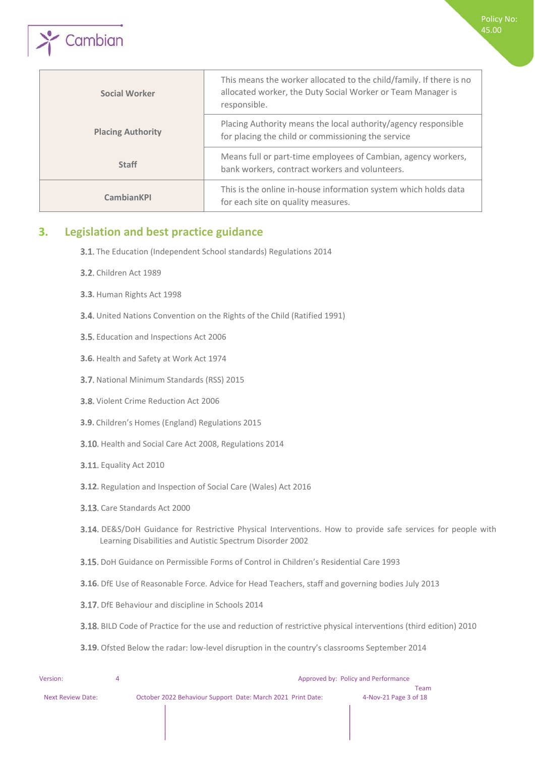

| <b>Social Worker</b>     | This means the worker allocated to the child/family. If there is no<br>allocated worker, the Duty Social Worker or Team Manager is<br>responsible. |
|--------------------------|----------------------------------------------------------------------------------------------------------------------------------------------------|
| <b>Placing Authority</b> | Placing Authority means the local authority/agency responsible<br>for placing the child or commissioning the service                               |
| <b>Staff</b>             | Means full or part-time employees of Cambian, agency workers,<br>bank workers, contract workers and volunteers.                                    |
| <b>CambianKPI</b>        | This is the online in-house information system which holds data<br>for each site on quality measures.                                              |

### **3. Legislation and best practice guidance**

- 3.1. The Education (Independent School standards) Regulations 2014
- **3.2.** Children Act 1989
- 3.3. Human Rights Act 1998
- 3.4. United Nations Convention on the Rights of the Child (Ratified 1991)
- 3.5. Education and Inspections Act 2006
- 3.6. Health and Safety at Work Act 1974
- 3.7. National Minimum Standards (RSS) 2015
- 3.8. Violent Crime Reduction Act 2006
- 3.9. Children's Homes (England) Regulations 2015
- 3.10. Health and Social Care Act 2008, Regulations 2014
- **3.11.** Equality Act 2010
- 3.12. Regulation and Inspection of Social Care (Wales) Act 2016
- 3.13. Care Standards Act 2000
- 3.14. DE&S/DoH Guidance for Restrictive Physical Interventions. How to provide safe services for people with Learning Disabilities and Autistic Spectrum Disorder 2002
- **3.15.** DoH Guidance on Permissible Forms of Control in Children's Residential Care 1993
- 3.16. DfE Use of Reasonable Force. Advice for Head Teachers, staff and governing bodies July 2013
- 3.17. DfE Behaviour and discipline in Schools 2014
- BILD Code of Practice for the use and reduction of restrictive physical interventions (third edition) 2010
- 3.19. Ofsted Below the radar: low-level disruption in the country's classrooms September 2014

| Version:                 |                                                             | Approved by: Policy and Performance |
|--------------------------|-------------------------------------------------------------|-------------------------------------|
|                          |                                                             | Team                                |
| <b>Next Review Date:</b> | October 2022 Behaviour Support Date: March 2021 Print Date: | 4-Nov-21 Page 3 of 18               |
|                          |                                                             |                                     |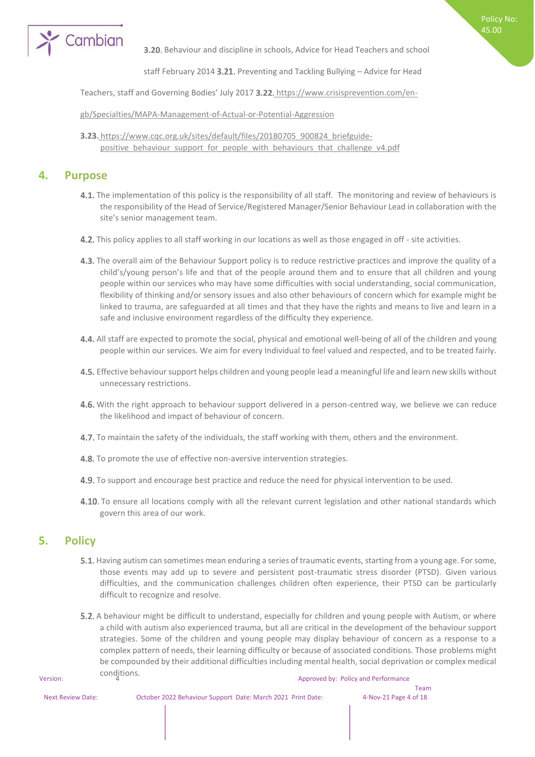

**3.20.** Behaviour and discipline in schools, Advice for Head Teachers and school

Policy No: 45.00

staff February 2014 3.21. Preventing and Tackling Bullying  $-$  Advice for Head

Teachers, staff and Governing Bodies' July 2017 3.22. [https://www.crisisprevention.com/en-](https://www.crisisprevention.com/en-gb/Specialties/MAPA-Management-of-Actual-or-Potential-Aggression)

[gb/Specialties/MAPA-Management-of-Actual-or-Potential-Aggression](https://www.crisisprevention.com/en-gb/Specialties/MAPA-Management-of-Actual-or-Potential-Aggression)

**3.23.** [https://www.cqc.org.uk/sites/default/files/20180705\\_900824\\_briefguide](https://www.cqc.org.uk/sites/default/files/20180705_900824_briefguide-positive_behaviour_support_for_people_with_behaviours_that_challenge_v4.pdf)positive behaviour support for people with behaviours that challenge v4.pdf

#### **4. Purpose**

- 4.1. The implementation of this policy is the responsibility of all staff. The monitoring and review of behaviours is the responsibility of the Head of Service/Registered Manager/Senior Behaviour Lead in collaboration with the site's senior management team.
- 4.2. This policy applies to all staff working in our locations as well as those engaged in off site activities.
- 4.3. The overall aim of the Behaviour Support policy is to reduce restrictive practices and improve the quality of a child's/young person's life and that of the people around them and to ensure that all children and young people within our services who may have some difficulties with social understanding, social communication, flexibility of thinking and/or sensory issues and also other behaviours of concern which for example might be linked to trauma, are safeguarded at all times and that they have the rights and means to live and learn in a safe and inclusive environment regardless of the difficulty they experience.
- 4.4. All staff are expected to promote the social, physical and emotional well-being of all of the children and young people within our services. We aim for every Individual to feel valued and respected, and to be treated fairly.
- 4.5. Effective behaviour support helps children and young people lead a meaningful life and learn new skills without unnecessary restrictions.
- 4.6. With the right approach to behaviour support delivered in a person-centred way, we believe we can reduce the likelihood and impact of behaviour of concern.
- 4.7. To maintain the safety of the individuals, the staff working with them, others and the environment.
- 4.8. To promote the use of effective non-aversive intervention strategies.
- 4.9. To support and encourage best practice and reduce the need for physical intervention to be used.
- 4.10. To ensure all locations comply with all the relevant current legislation and other national standards which govern this area of our work.

#### **5. Policy**

- 5.1. Having autism can sometimes mean enduring a series of traumatic events, starting from a young age. For some, those events may add up to severe and persistent post-traumatic stress disorder (PTSD). Given various difficulties, and the communication challenges children often experience, their PTSD can be particularly difficult to recognize and resolve.
- Version: COTO 4 Approved by: Policy and Performance 5.2. A behaviour might be difficult to understand, especially for children and young people with Autism, or where a child with autism also experienced trauma, but all are critical in the development of the behaviour support strategies. Some of the children and young people may display behaviour of concern as a response to a complex pattern of needs, their learning difficulty or because of associated conditions. Those problems might be compounded by their additional difficulties including mental health, social deprivation or complex medical conditions.

Team<br>4-Nov-21 Page 4 of 18

| UNS. |  |
|------|--|
|      |  |

Next Review Date: October 2022 Behaviour Support Date: March 2021 Print Date: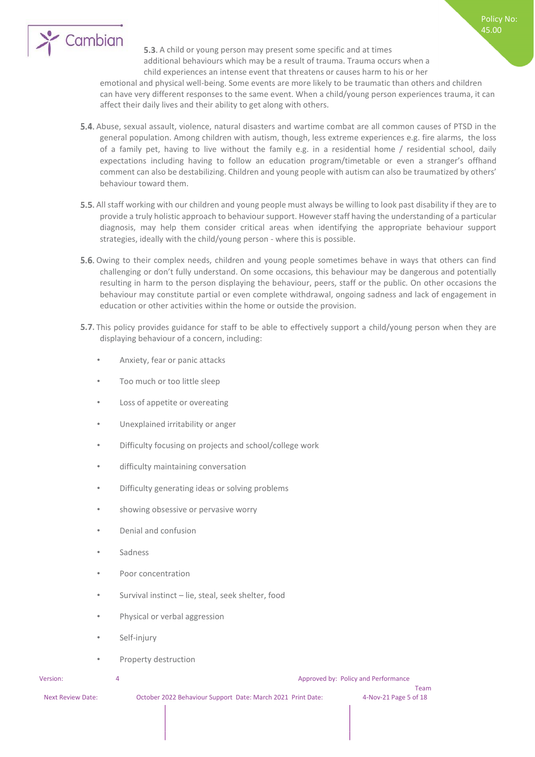

5.3. A child or young person may present some specific and at times additional behaviours which may be a result of trauma. Trauma occurs when a child experiences an intense event that threatens or causes harm to his or her

emotional and physical well-being. Some events are more likely to be traumatic than others and children can have very different responses to the same event. When a child/young person experiences trauma, it can affect their daily lives and their ability to get along with others.

- 5.4. Abuse, sexual assault, violence, natural disasters and wartime combat are all common causes of PTSD in the general population. Among children with autism, though, less extreme experiences e.g. fire alarms, the loss of a family pet, having to live without the family e.g. in a residential home / residential school, daily expectations including having to follow an education program/timetable or even a stranger's offhand comment can also be destabilizing. Children and young people with autism can also be traumatized by others' behaviour toward them.
- 5.5. All staff working with our children and young people must always be willing to look past disability if they are to provide a truly holistic approach to behaviour support. However staff having the understanding of a particular diagnosis, may help them consider critical areas when identifying the appropriate behaviour support strategies, ideally with the child/young person - where this is possible.
- 5.6. Owing to their complex needs, children and young people sometimes behave in ways that others can find challenging or don't fully understand. On some occasions, this behaviour may be dangerous and potentially resulting in harm to the person displaying the behaviour, peers, staff or the public. On other occasions the behaviour may constitute partial or even complete withdrawal, ongoing sadness and lack of engagement in education or other activities within the home or outside the provision.
- 5.7. This policy provides guidance for staff to be able to effectively support a child/young person when they are displaying behaviour of a concern, including:
	- Anxiety, fear or panic attacks
	- Too much or too little sleep
	- Loss of appetite or overeating
	- Unexplained irritability or anger
	- Difficulty focusing on projects and school/college work
	- difficulty maintaining conversation
	- Difficulty generating ideas or solving problems
	- showing obsessive or pervasive worry
	- Denial and confusion
	- **Sadness**
	- Poor concentration
	- Survival instinct lie, steal, seek shelter, food
	- Physical or verbal aggression
	- Self-injury
	- Property destruction

Version: 4 Approved by: Policy and Performance

Next Review Date: October 2022 Behaviour Support Date: March 2021 Print Date: 4-Nov-21 Page 5 of 18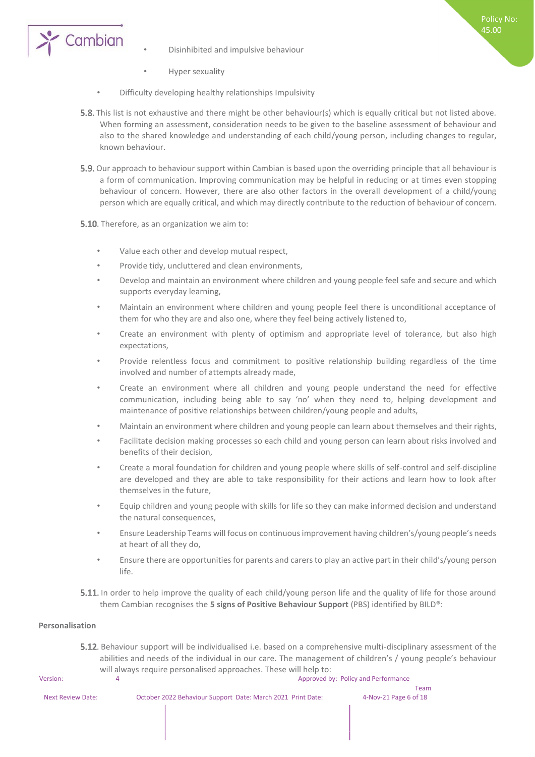

- Disinhibited and impulsive behaviour
- Hyper sexuality
- Difficulty developing healthy relationships Impulsivity
- 5.8. This list is not exhaustive and there might be other behaviour(s) which is equally critical but not listed above. When forming an assessment, consideration needs to be given to the baseline assessment of behaviour and also to the shared knowledge and understanding of each child/young person, including changes to regular, known behaviour.

Policy No: 45.00

- **5.9.** Our approach to behaviour support within Cambian is based upon the overriding principle that all behaviour is a form of communication. Improving communication may be helpful in reducing or at times even stopping behaviour of concern. However, there are also other factors in the overall development of a child/young person which are equally critical, and which may directly contribute to the reduction of behaviour of concern.
- 5.10. Therefore, as an organization we aim to:
	- Value each other and develop mutual respect,
	- Provide tidy, uncluttered and clean environments,
	- Develop and maintain an environment where children and young people feel safe and secure and which supports everyday learning,
	- Maintain an environment where children and young people feel there is unconditional acceptance of them for who they are and also one, where they feel being actively listened to,
	- Create an environment with plenty of optimism and appropriate level of tolerance, but also high expectations,
	- Provide relentless focus and commitment to positive relationship building regardless of the time involved and number of attempts already made,
	- Create an environment where all children and young people understand the need for effective communication, including being able to say 'no' when they need to, helping development and maintenance of positive relationships between children/young people and adults,
	- Maintain an environment where children and young people can learn about themselves and their rights,
	- Facilitate decision making processes so each child and young person can learn about risks involved and benefits of their decision,
	- Create a moral foundation for children and young people where skills of self-control and self-discipline are developed and they are able to take responsibility for their actions and learn how to look after themselves in the future,
	- Equip children and young people with skills for life so they can make informed decision and understand the natural consequences,
	- Ensure Leadership Teams will focus on continuous improvement having children's/young people's needs at heart of all they do,
	- Ensure there are opportunities for parents and carers to play an active part in their child's/young person life.
- 5.11. In order to help improve the quality of each child/young person life and the quality of life for those around them Cambian recognises the **5 signs of Positive Behaviour Support** (PBS) identified by BILD®:

#### **Personalisation**

5.12. Behaviour support will be individualised i.e. based on a comprehensive multi-disciplinary assessment of the abilities and needs of the individual in our care. The management of children's / young people's behaviour will always require personalised approaches. These will help to:

Version: 4 Approved by: Policy and Performance

Next Review Date: October 2022 Behaviour Support Date: March 2021 Print Date: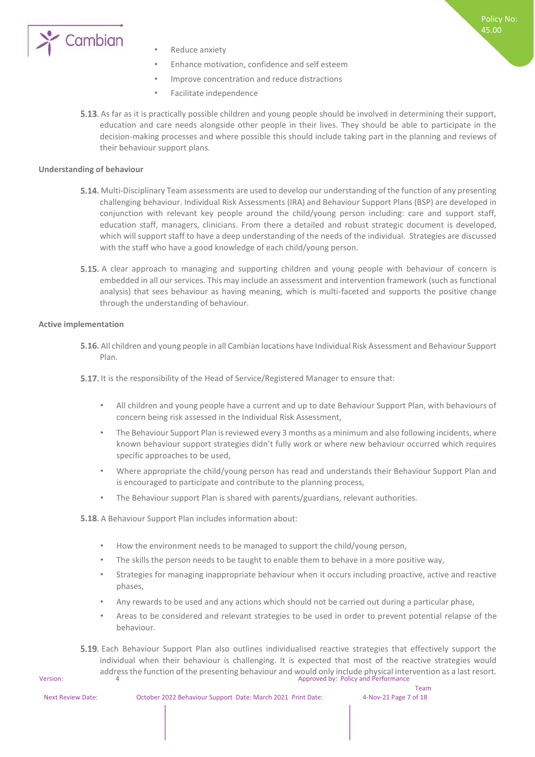

- Reduce anxiety
- Enhance motivation, confidence and self esteem
- Improve concentration and reduce distractions
- Facilitate independence
- 5.13. As far as it is practically possible children and young people should be involved in determining their support, education and care needs alongside other people in their lives. They should be able to participate in the decision-making processes and where possible this should include taking part in the planning and reviews of their behaviour support plans.

#### **Understanding of behaviour**

- 5.14. Multi-Disciplinary Team assessments are used to develop our understanding of the function of any presenting challenging behaviour. Individual Risk Assessments (IRA) and Behaviour Support Plans (BSP) are developed in conjunction with relevant key people around the child/young person including: care and support staff, education staff, managers, clinicians. From there a detailed and robust strategic document is developed, which will support staff to have a deep understanding of the needs of the individual. Strategies are discussed with the staff who have a good knowledge of each child/young person.
- **5.15.** A clear approach to managing and supporting children and young people with behaviour of concern is embedded in all our services. This may include an assessment and intervention framework (such as functional analysis) that sees behaviour as having meaning, which is multi-faceted and supports the positive change through the understanding of behaviour.

#### **Active implementation**

5.16. All children and young people in all Cambian locations have Individual Risk Assessment and Behaviour Support Plan.

5.17. It is the responsibility of the Head of Service/Registered Manager to ensure that:

- All children and young people have a current and up to date Behaviour Support Plan, with behaviours of concern being risk assessed in the Individual Risk Assessment,
- The Behaviour Support Plan is reviewed every 3 months as a minimum and also following incidents, where known behaviour support strategies didn't fully work or where new behaviour occurred which requires specific approaches to be used,
- Where appropriate the child/young person has read and understands their Behaviour Support Plan and is encouraged to participate and contribute to the planning process,
- The Behaviour support Plan is shared with parents/guardians, relevant authorities.

**5.18.** A Behaviour Support Plan includes information about:

- How the environment needs to be managed to support the child/young person,
- The skills the person needs to be taught to enable them to behave in a more positive way,
- Strategies for managing inappropriate behaviour when it occurs including proactive, active and reactive phases,
- Any rewards to be used and any actions which should not be carried out during a particular phase,
- Areas to be considered and relevant strategies to be used in order to prevent potential relapse of the behaviour.
- address the function of the presenting behaviour and would only include physical intervention as a last resort.<br>Version: Policy and Performance **5.19.** Each Behaviour Support Plan also outlines individualised reactive strategies that effectively support the individual when their behaviour is challenging. It is expected that most of the reactive strategies would

Next Review Date: October 2022 Behaviour Support Date: March 2021 Print Date: 4-Nov-21 Page 7 of 18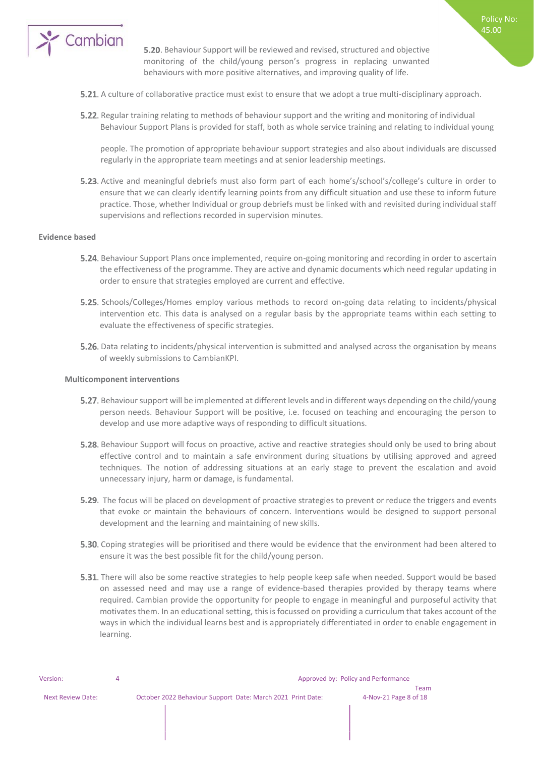

**5.20.** Behaviour Support will be reviewed and revised, structured and objective monitoring of the child/young person's progress in replacing unwanted behaviours with more positive alternatives, and improving quality of life.

Policy No: 45.00

- **5.21.** A culture of collaborative practice must exist to ensure that we adopt a true multi-disciplinary approach.
- **5.22.** Regular training relating to methods of behaviour support and the writing and monitoring of individual Behaviour Support Plans is provided for staff, both as whole service training and relating to individual young

people. The promotion of appropriate behaviour support strategies and also about individuals are discussed regularly in the appropriate team meetings and at senior leadership meetings.

5.23. Active and meaningful debriefs must also form part of each home's/school's/college's culture in order to ensure that we can clearly identify learning points from any difficult situation and use these to inform future practice. Those, whether Individual or group debriefs must be linked with and revisited during individual staff supervisions and reflections recorded in supervision minutes.

#### **Evidence based**

- **5.24.** Behaviour Support Plans once implemented, require on-going monitoring and recording in order to ascertain the effectiveness of the programme. They are active and dynamic documents which need regular updating in order to ensure that strategies employed are current and effective.
- **5.25.** Schools/Colleges/Homes employ various methods to record on-going data relating to incidents/physical intervention etc. This data is analysed on a regular basis by the appropriate teams within each setting to evaluate the effectiveness of specific strategies.
- 5.26. Data relating to incidents/physical intervention is submitted and analysed across the organisation by means of weekly submissions to CambianKPI.

#### **Multicomponent interventions**

- Behaviour support will be implemented at different levels and in different ways depending on the child/young person needs. Behaviour Support will be positive, i.e. focused on teaching and encouraging the person to develop and use more adaptive ways of responding to difficult situations.
- 5.28. Behaviour Support will focus on proactive, active and reactive strategies should only be used to bring about effective control and to maintain a safe environment during situations by utilising approved and agreed techniques. The notion of addressing situations at an early stage to prevent the escalation and avoid unnecessary injury, harm or damage, is fundamental.
- **5.29.** The focus will be placed on development of proactive strategies to prevent or reduce the triggers and events that evoke or maintain the behaviours of concern. Interventions would be designed to support personal development and the learning and maintaining of new skills.
- **5.30.** Coping strategies will be prioritised and there would be evidence that the environment had been altered to ensure it was the best possible fit for the child/young person.
- **5.31.** There will also be some reactive strategies to help people keep safe when needed. Support would be based on assessed need and may use a range of evidence-based therapies provided by therapy teams where required. Cambian provide the opportunity for people to engage in meaningful and purposeful activity that motivates them. In an educational setting, this is focussed on providing a curriculum that takes account of the ways in which the individual learns best and is appropriately differentiated in order to enable engagement in learning.

| Version:          |                                                             | Approved by: Policy and Performance |
|-------------------|-------------------------------------------------------------|-------------------------------------|
|                   |                                                             | Team                                |
| Next Review Date: | October 2022 Behaviour Support Date: March 2021 Print Date: | 4-Nov-21 Page 8 of 18               |
|                   |                                                             |                                     |
|                   |                                                             |                                     |
|                   |                                                             |                                     |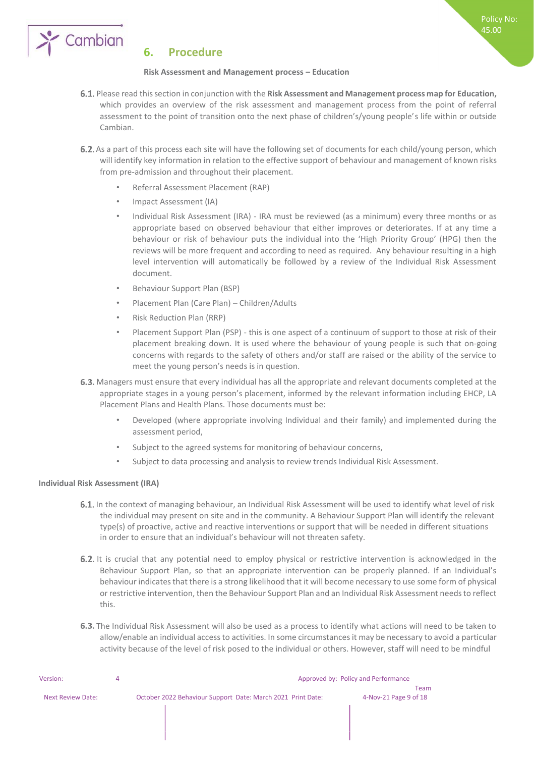

#### **6. Procedure**

#### **Risk Assessment and Management process – Education**

Please read this section in conjunction with the **Risk Assessment and Management process map for Education,**  which provides an overview of the risk assessment and management process from the point of referral assessment to the point of transition onto the next phase of children's/young people's life within or outside Cambian.

Policy No: 45.00

- 6.2. As a part of this process each site will have the following set of documents for each child/young person, which will identify key information in relation to the effective support of behaviour and management of known risks from pre-admission and throughout their placement.
	- Referral Assessment Placement (RAP)
	- Impact Assessment (IA)
	- Individual Risk Assessment (IRA) IRA must be reviewed (as a minimum) every three months or as appropriate based on observed behaviour that either improves or deteriorates. If at any time a behaviour or risk of behaviour puts the individual into the 'High Priority Group' (HPG) then the reviews will be more frequent and according to need as required. Any behaviour resulting in a high level intervention will automatically be followed by a review of the Individual Risk Assessment document.
	- Behaviour Support Plan (BSP)
	- Placement Plan (Care Plan) Children/Adults
	- Risk Reduction Plan (RRP)
	- Placement Support Plan (PSP) this is one aspect of a continuum of support to those at risk of their placement breaking down. It is used where the behaviour of young people is such that on-going concerns with regards to the safety of others and/or staff are raised or the ability of the service to meet the young person's needs is in question.
- 6.3. Managers must ensure that every individual has all the appropriate and relevant documents completed at the appropriate stages in a young person's placement, informed by the relevant information including EHCP, LA Placement Plans and Health Plans. Those documents must be:
	- Developed (where appropriate involving Individual and their family) and implemented during the assessment period,
	- Subject to the agreed systems for monitoring of behaviour concerns,
	- Subject to data processing and analysis to review trends Individual Risk Assessment.

#### **Individual Risk Assessment (IRA)**

- 6.1. In the context of managing behaviour, an Individual Risk Assessment will be used to identify what level of risk the individual may present on site and in the community. A Behaviour Support Plan will identify the relevant type(s) of proactive, active and reactive interventions or support that will be needed in different situations in order to ensure that an individual's behaviour will not threaten safety.
- 6.2. It is crucial that any potential need to employ physical or restrictive intervention is acknowledged in the Behaviour Support Plan, so that an appropriate intervention can be properly planned. If an Individual's behaviour indicates that there is a strong likelihood that it will become necessary to use some form of physical or restrictive intervention, then the Behaviour Support Plan and an Individual Risk Assessment needs to reflect this.
- 6.3. The Individual Risk Assessment will also be used as a process to identify what actions will need to be taken to allow/enable an individual access to activities. In some circumstances it may be necessary to avoid a particular activity because of the level of risk posed to the individual or others. However, staff will need to be mindful

| Version:                 | Approved by: Policy and Performance                         |                       |  |  |
|--------------------------|-------------------------------------------------------------|-----------------------|--|--|
|                          |                                                             | Team                  |  |  |
| <b>Next Review Date:</b> | October 2022 Behaviour Support Date: March 2021 Print Date: | 4-Nov-21 Page 9 of 18 |  |  |
|                          |                                                             |                       |  |  |
|                          |                                                             |                       |  |  |
|                          |                                                             |                       |  |  |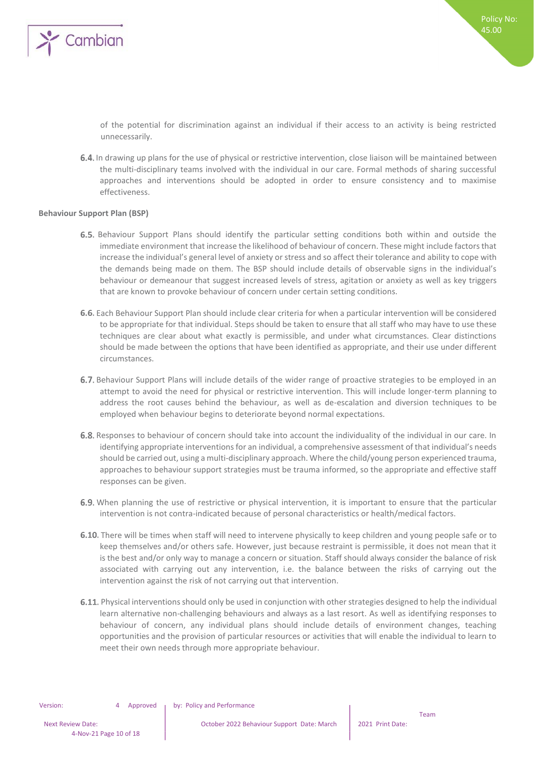

of the potential for discrimination against an individual if their access to an activity is being restricted unnecessarily.

6.4. In drawing up plans for the use of physical or restrictive intervention, close liaison will be maintained between the multi-disciplinary teams involved with the individual in our care. Formal methods of sharing successful approaches and interventions should be adopted in order to ensure consistency and to maximise effectiveness.

#### **Behaviour Support Plan (BSP)**

- 6.5. Behaviour Support Plans should identify the particular setting conditions both within and outside the immediate environment that increase the likelihood of behaviour of concern. These might include factors that increase the individual's general level of anxiety or stress and so affect their tolerance and ability to cope with the demands being made on them. The BSP should include details of observable signs in the individual's behaviour or demeanour that suggest increased levels of stress, agitation or anxiety as well as key triggers that are known to provoke behaviour of concern under certain setting conditions.
- Each Behaviour Support Plan should include clear criteria for when a particular intervention will be considered to be appropriate for that individual. Steps should be taken to ensure that all staff who may have to use these techniques are clear about what exactly is permissible, and under what circumstances. Clear distinctions should be made between the options that have been identified as appropriate, and their use under different circumstances.
- 6.7. Behaviour Support Plans will include details of the wider range of proactive strategies to be employed in an attempt to avoid the need for physical or restrictive intervention. This will include longer-term planning to address the root causes behind the behaviour, as well as de-escalation and diversion techniques to be employed when behaviour begins to deteriorate beyond normal expectations.
- 6.8. Responses to behaviour of concern should take into account the individuality of the individual in our care. In identifying appropriate interventions for an individual, a comprehensive assessment of that individual's needs should be carried out, using a multi-disciplinary approach. Where the child/young person experienced trauma, approaches to behaviour support strategies must be trauma informed, so the appropriate and effective staff responses can be given.
- 6.9. When planning the use of restrictive or physical intervention, it is important to ensure that the particular intervention is not contra-indicated because of personal characteristics or health/medical factors.
- 6.10. There will be times when staff will need to intervene physically to keep children and young people safe or to keep themselves and/or others safe. However, just because restraint is permissible, it does not mean that it is the best and/or only way to manage a concern or situation. Staff should always consider the balance of risk associated with carrying out any intervention, i.e. the balance between the risks of carrying out the intervention against the risk of not carrying out that intervention.
- 6.11. Physical interventions should only be used in conjunction with other strategies designed to help the individual learn alternative non-challenging behaviours and always as a last resort. As well as identifying responses to behaviour of concern, any individual plans should include details of environment changes, teaching opportunities and the provision of particular resources or activities that will enable the individual to learn to meet their own needs through more appropriate behaviour.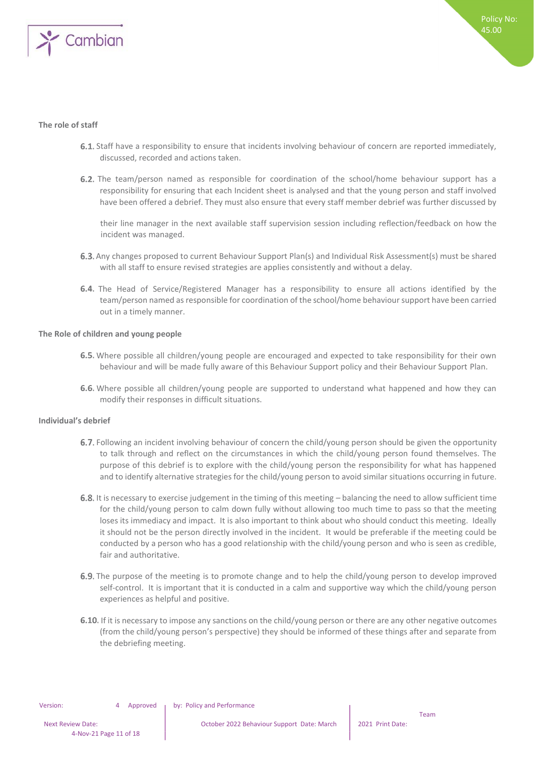

#### **The role of staff**

- Staff have a responsibility to ensure that incidents involving behaviour of concern are reported immediately, discussed, recorded and actions taken.
- 6.2. The team/person named as responsible for coordination of the school/home behaviour support has a responsibility for ensuring that each Incident sheet is analysed and that the young person and staff involved have been offered a debrief. They must also ensure that every staff member debrief was further discussed by

their line manager in the next available staff supervision session including reflection/feedback on how the incident was managed.

- 6.3. Any changes proposed to current Behaviour Support Plan(s) and Individual Risk Assessment(s) must be shared with all staff to ensure revised strategies are applies consistently and without a delay.
- 6.4. The Head of Service/Registered Manager has a responsibility to ensure all actions identified by the team/person named as responsible for coordination of the school/home behaviour support have been carried out in a timely manner.

#### **The Role of children and young people**

- 6.5. Where possible all children/young people are encouraged and expected to take responsibility for their own behaviour and will be made fully aware of this Behaviour Support policy and their Behaviour Support Plan.
- **6.6.** Where possible all children/young people are supported to understand what happened and how they can modify their responses in difficult situations.

#### **Individual's debrief**

- 6.7. Following an incident involving behaviour of concern the child/young person should be given the opportunity to talk through and reflect on the circumstances in which the child/young person found themselves. The purpose of this debrief is to explore with the child/young person the responsibility for what has happened and to identify alternative strategies for the child/young person to avoid similar situations occurring in future.
- 6.8. It is necessary to exercise judgement in the timing of this meeting balancing the need to allow sufficient time for the child/young person to calm down fully without allowing too much time to pass so that the meeting loses its immediacy and impact. It is also important to think about who should conduct this meeting. Ideally it should not be the person directly involved in the incident. It would be preferable if the meeting could be conducted by a person who has a good relationship with the child/young person and who is seen as credible, fair and authoritative.
- 6.9. The purpose of the meeting is to promote change and to help the child/young person to develop improved self-control. It is important that it is conducted in a calm and supportive way which the child/young person experiences as helpful and positive.
- 6.10. If it is necessary to impose any sanctions on the child/young person or there are any other negative outcomes (from the child/young person's perspective) they should be informed of these things after and separate from the debriefing meeting.

Team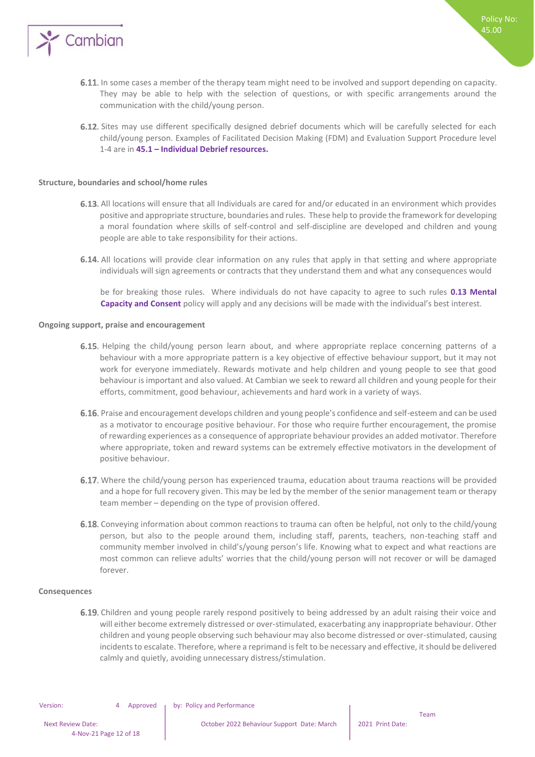

- 6.11. In some cases a member of the therapy team might need to be involved and support depending on capacity. They may be able to help with the selection of questions, or with specific arrangements around the communication with the child/young person.
- 6.12. Sites may use different specifically designed debrief documents which will be carefully selected for each child/young person. Examples of Facilitated Decision Making (FDM) and Evaluation Support Procedure level 1-4 are in **45.1 – Individual Debrief resources.**

#### **Structure, boundaries and school/home rules**

- 6.13. All locations will ensure that all Individuals are cared for and/or educated in an environment which provides positive and appropriate structure, boundaries and rules. These help to provide the framework for developing a moral foundation where skills of self-control and self-discipline are developed and children and young people are able to take responsibility for their actions.
- 6.14. All locations will provide clear information on any rules that apply in that setting and where appropriate individuals will sign agreements or contracts that they understand them and what any consequences would

be for breaking those rules. Where individuals do not have capacity to agree to such rules **0.13 Mental Capacity and Consent** policy will apply and any decisions will be made with the individual's best interest.

#### **Ongoing support, praise and encouragement**

- 6.15. Helping the child/young person learn about, and where appropriate replace concerning patterns of a behaviour with a more appropriate pattern is a key objective of effective behaviour support, but it may not work for everyone immediately. Rewards motivate and help children and young people to see that good behaviour is important and also valued. At Cambian we seek to reward all children and young people for their efforts, commitment, good behaviour, achievements and hard work in a variety of ways.
- 6.16. Praise and encouragement develops children and young people's confidence and self-esteem and can be used as a motivator to encourage positive behaviour. For those who require further encouragement, the promise of rewarding experiences as a consequence of appropriate behaviour provides an added motivator. Therefore where appropriate, token and reward systems can be extremely effective motivators in the development of positive behaviour.
- 6.17. Where the child/young person has experienced trauma, education about trauma reactions will be provided and a hope for full recovery given. This may be led by the member of the senior management team or therapy team member – depending on the type of provision offered.
- 6.18. Conveying information about common reactions to trauma can often be helpful, not only to the child/young person, but also to the people around them, including staff, parents, teachers, non-teaching staff and community member involved in child's/young person's life. Knowing what to expect and what reactions are most common can relieve adults' worries that the child/young person will not recover or will be damaged forever.

#### **Consequences**

6.19. Children and young people rarely respond positively to being addressed by an adult raising their voice and will either become extremely distressed or over-stimulated, exacerbating any inappropriate behaviour. Other children and young people observing such behaviour may also become distressed or over-stimulated, causing incidents to escalate. Therefore, where a reprimand is felt to be necessary and effective, it should be delivered calmly and quietly, avoiding unnecessary distress/stimulation.

Team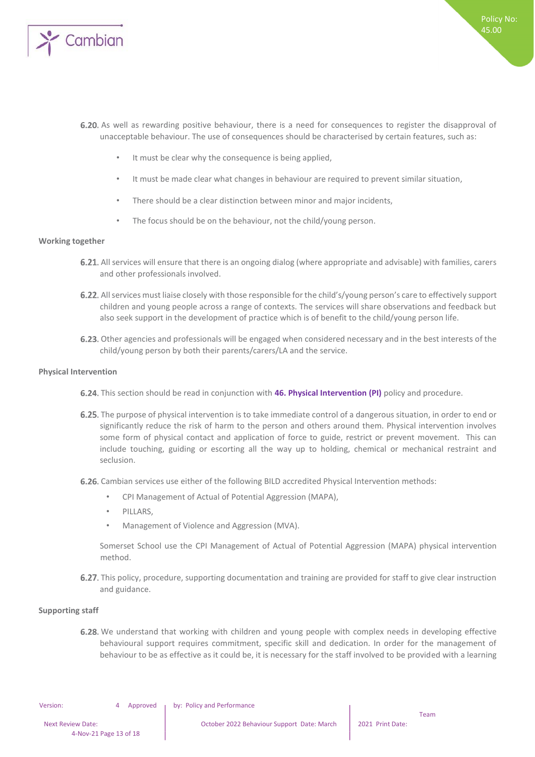

- 6.20. As well as rewarding positive behaviour, there is a need for consequences to register the disapproval of unacceptable behaviour. The use of consequences should be characterised by certain features, such as:
	- It must be clear why the consequence is being applied,
	- It must be made clear what changes in behaviour are required to prevent similar situation,
	- There should be a clear distinction between minor and major incidents,
	- The focus should be on the behaviour, not the child/young person.

#### **Working together**

- 6.21. All services will ensure that there is an ongoing dialog (where appropriate and advisable) with families, carers and other professionals involved.
- 6.22. All services must liaise closely with those responsible for the child's/young person's care to effectively support children and young people across a range of contexts. The services will share observations and feedback but also seek support in the development of practice which is of benefit to the child/young person life.
- 6.23. Other agencies and professionals will be engaged when considered necessary and in the best interests of the child/young person by both their parents/carers/LA and the service.

#### **Physical Intervention**

- **6.24.** This section should be read in conjunction with **46. Physical Intervention (PI)** policy and procedure.
- 6.25. The purpose of physical intervention is to take immediate control of a dangerous situation, in order to end or significantly reduce the risk of harm to the person and others around them. Physical intervention involves some form of physical contact and application of force to guide, restrict or prevent movement. This can include touching, guiding or escorting all the way up to holding, chemical or mechanical restraint and seclusion.
- 6.26. Cambian services use either of the following BILD accredited Physical Intervention methods:
	- CPI Management of Actual of Potential Aggression (MAPA),
	- PILLARS,
	- Management of Violence and Aggression (MVA).

Somerset School use the CPI Management of Actual of Potential Aggression (MAPA) physical intervention method.

6.27. This policy, procedure, supporting documentation and training are provided for staff to give clear instruction and guidance.

#### **Supporting staff**

6.28. We understand that working with children and young people with complex needs in developing effective behavioural support requires commitment, specific skill and dedication. In order for the management of behaviour to be as effective as it could be, it is necessary for the staff involved to be provided with a learning

Version: 4 Approved by: Policy and Performance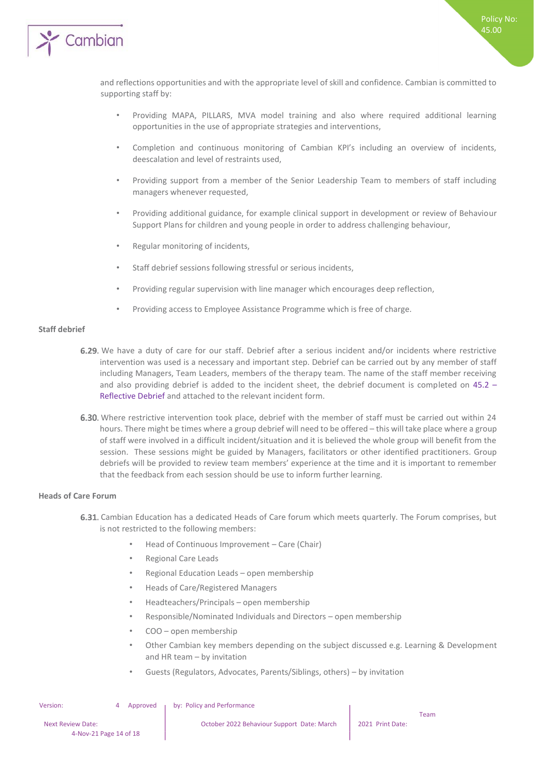

and reflections opportunities and with the appropriate level of skill and confidence. Cambian is committed to supporting staff by:

- Providing MAPA, PILLARS, MVA model training and also where required additional learning opportunities in the use of appropriate strategies and interventions,
- Completion and continuous monitoring of Cambian KPI's including an overview of incidents, deescalation and level of restraints used,
- Providing support from a member of the Senior Leadership Team to members of staff including managers whenever requested,
- Providing additional guidance, for example clinical support in development or review of Behaviour Support Plans for children and young people in order to address challenging behaviour,
- Regular monitoring of incidents,
- Staff debrief sessions following stressful or serious incidents,
- Providing regular supervision with line manager which encourages deep reflection,
- Providing access to Employee Assistance Programme which is free of charge.

#### **Staff debrief**

- 6.29. We have a duty of care for our staff. Debrief after a serious incident and/or incidents where restrictive intervention was used is a necessary and important step. Debrief can be carried out by any member of staff including Managers, Team Leaders, members of the therapy team. The name of the staff member receiving and also providing debrief is added to the incident sheet, the debrief document is completed on 45.2 – Reflective Debrief and attached to the relevant incident form.
- 6.30. Where restrictive intervention took place, debrief with the member of staff must be carried out within 24 hours. There might be times where a group debrief will need to be offered – this will take place where a group of staff were involved in a difficult incident/situation and it is believed the whole group will benefit from the session. These sessions might be guided by Managers, facilitators or other identified practitioners. Group debriefs will be provided to review team members' experience at the time and it is important to remember that the feedback from each session should be use to inform further learning.

#### **Heads of Care Forum**

- 6.31. Cambian Education has a dedicated Heads of Care forum which meets quarterly. The Forum comprises, but is not restricted to the following members:
	- Head of Continuous Improvement Care (Chair)
	- Regional Care Leads
	- Regional Education Leads open membership
	- Heads of Care/Registered Managers
	- Headteachers/Principals open membership
	- Responsible/Nominated Individuals and Directors open membership
	- COO open membership
	- Other Cambian key members depending on the subject discussed e.g. Learning & Development and HR team – by invitation
	- Guests (Regulators, Advocates, Parents/Siblings, others) by invitation

Team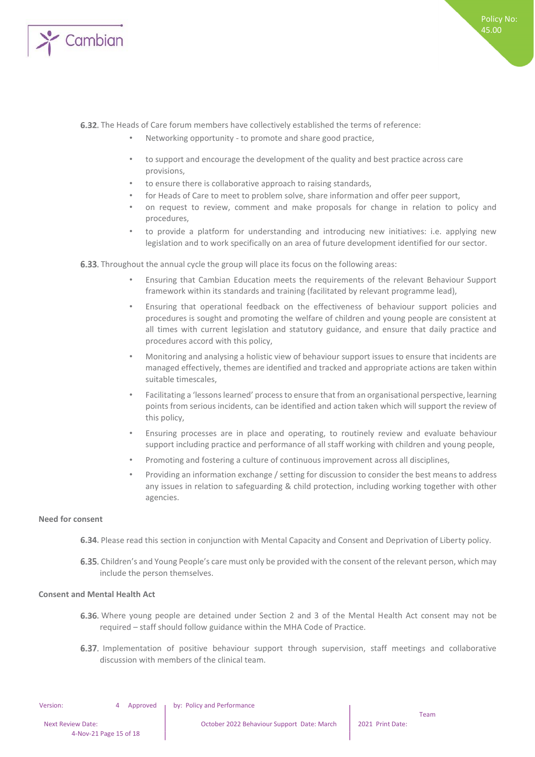

#### 6.32. The Heads of Care forum members have collectively established the terms of reference:

- Networking opportunity to promote and share good practice,
- to support and encourage the development of the quality and best practice across care provisions,
- to ensure there is collaborative approach to raising standards,
- for Heads of Care to meet to problem solve, share information and offer peer support,
- on request to review, comment and make proposals for change in relation to policy and procedures,
- to provide a platform for understanding and introducing new initiatives: i.e. applying new legislation and to work specifically on an area of future development identified for our sector.

**6.33.** Throughout the annual cycle the group will place its focus on the following areas:

- Ensuring that Cambian Education meets the requirements of the relevant Behaviour Support framework within its standards and training (facilitated by relevant programme lead),
- Ensuring that operational feedback on the effectiveness of behaviour support policies and procedures is sought and promoting the welfare of children and young people are consistent at all times with current legislation and statutory guidance, and ensure that daily practice and procedures accord with this policy,
- Monitoring and analysing a holistic view of behaviour support issues to ensure that incidents are managed effectively, themes are identified and tracked and appropriate actions are taken within suitable timescales,
- Facilitating a 'lessons learned' processto ensure that from an organisational perspective, learning points from serious incidents, can be identified and action taken which will support the review of this policy,
- Ensuring processes are in place and operating, to routinely review and evaluate behaviour support including practice and performance of all staff working with children and young people,
- Promoting and fostering a culture of continuous improvement across all disciplines,
- Providing an information exchange / setting for discussion to consider the best means to address any issues in relation to safeguarding & child protection, including working together with other agencies.

#### **Need for consent**

- 6.34. Please read this section in conjunction with Mental Capacity and Consent and Deprivation of Liberty policy.
- 6.35. Children's and Young People's care must only be provided with the consent of the relevant person, which may include the person themselves.

#### **Consent and Mental Health Act**

- Where young people are detained under Section 2 and 3 of the Mental Health Act consent may not be required – staff should follow guidance within the MHA Code of Practice.
- 6.37. Implementation of positive behaviour support through supervision, staff meetings and collaborative discussion with members of the clinical team.

Version: 4 Approved by: Policy and Performance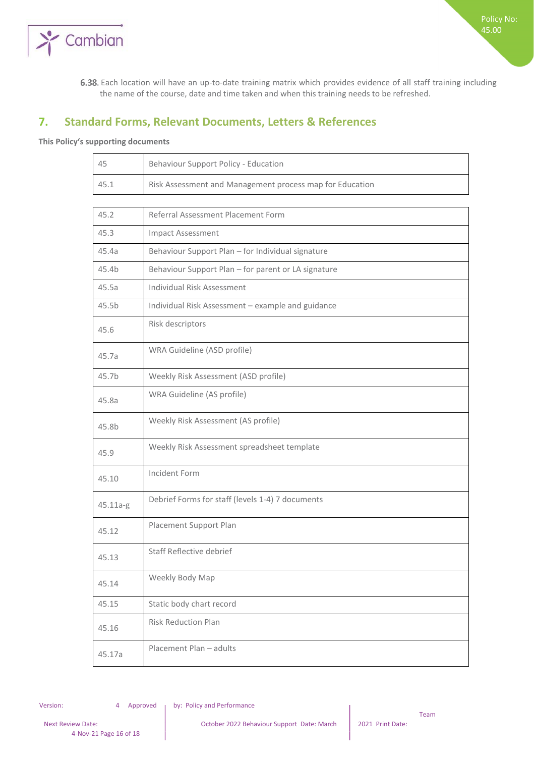

Each location will have an up-to-date training matrix which provides evidence of all staff training including the name of the course, date and time taken and when this training needs to be refreshed.

### **7. Standard Forms, Relevant Documents, Letters & References**

#### **This Policy's supporting documents**

| 45                | Behaviour Support Policy - Education                     |
|-------------------|----------------------------------------------------------|
| 45.1              | Risk Assessment and Management process map for Education |
|                   |                                                          |
| 45.2              | Referral Assessment Placement Form                       |
| 45.3              | <b>Impact Assessment</b>                                 |
| 45.4a             | Behaviour Support Plan - for Individual signature        |
| 45.4b             | Behaviour Support Plan - for parent or LA signature      |
| 45.5a             | <b>Individual Risk Assessment</b>                        |
| 45.5 <sub>b</sub> | Individual Risk Assessment - example and guidance        |
| 45.6              | Risk descriptors                                         |
| 45.7a             | WRA Guideline (ASD profile)                              |
| 45.7b             | Weekly Risk Assessment (ASD profile)                     |
| 45.8a             | WRA Guideline (AS profile)                               |
| 45.8b             | Weekly Risk Assessment (AS profile)                      |
| 45.9              | Weekly Risk Assessment spreadsheet template              |
| 45.10             | Incident Form                                            |
| 45.11a-g          | Debrief Forms for staff (levels 1-4) 7 documents         |
| 45.12             | Placement Support Plan                                   |
| 45.13             | Staff Reflective debrief                                 |
| 45.14             | Weekly Body Map                                          |
| 45.15             | Static body chart record                                 |
| 45.16             | <b>Risk Reduction Plan</b>                               |
| 45.17a            | Placement Plan - adults                                  |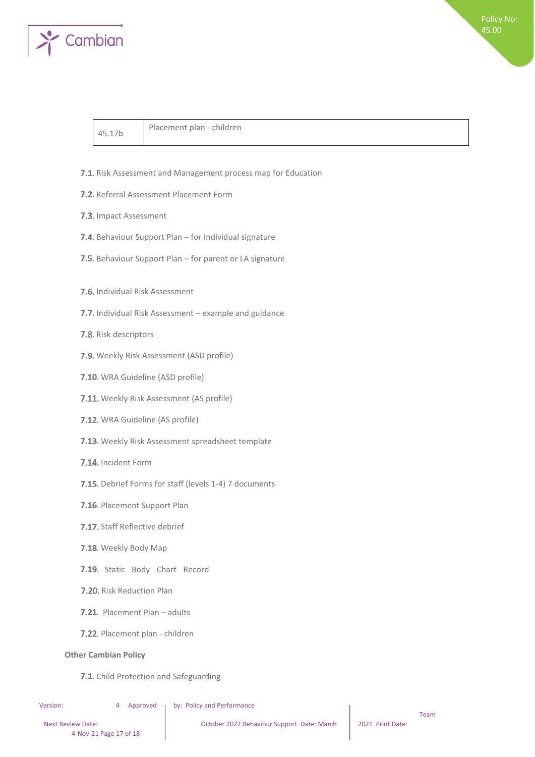

45.17b Placement plan - children

- 7.1. Risk Assessment and Management process map for Education
- **7.2.** Referral Assessment Placement Form
- 7.3. Impact Assessment
- 7.4. Behaviour Support Plan for Individual signature
- 7.5. Behaviour Support Plan for parent or LA signature
- **7.6.** Individual Risk Assessment
- 7.7. Individual Risk Assessment example and guidance
- 7.8. Risk descriptors
- 7.9. Weekly Risk Assessment (ASD profile)
- 7.10. WRA Guideline (ASD profile)
- 7.11. Weekly Risk Assessment (AS profile)
- 7.12. WRA Guideline (AS profile)
- 7.13. Weekly Risk Assessment spreadsheet template
- 7.14. Incident Form
- 7.15. Debrief Forms for staff (levels 1-4) 7 documents
- 7.16. Placement Support Plan
- 7.17. Staff Reflective debrief
- 7.18. Weekly Body Map
- 7.19. Static Body Chart Record
- 7.20. Risk Reduction Plan
- 7.21. Placement Plan adults
- 7.22. Placement plan children

#### **Other Cambian Policy**

7.1. Child Protection and Safeguarding